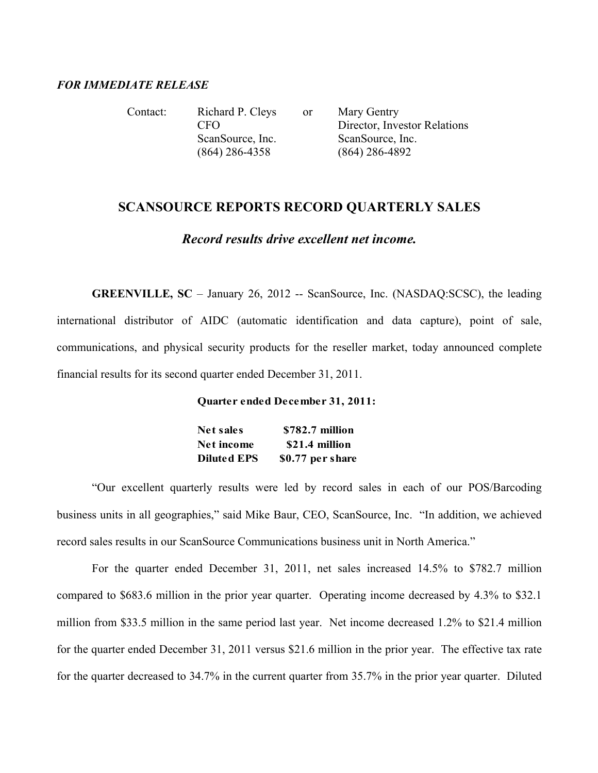### *FOR IMMEDIATE RELEASE*

Contact: Richard P. Cleys or Mary Gentry CFO Director, Investor Relations ScanSource, Inc. ScanSource, Inc. (864) 286-4358 (864) 286-4892

# **SCANSOURCE REPORTS RECORD QUARTERLY SALES**

## *Record results drive excellent net income.*

**GREENVILLE, SC** – January 26, 2012 -- ScanSource, Inc. (NASDAQ:SCSC), the leading international distributor of AIDC (automatic identification and data capture), point of sale, communications, and physical security products for the reseller market, today announced complete financial results for its second quarter ended December 31, 2011.

#### **Quarter ended December 31, 2011:**

| <b>Net sales</b>   | \$782.7 million  |
|--------------------|------------------|
| Net income         | \$21.4 million   |
| <b>Diluted EPS</b> | \$0.77 per share |

"Our excellent quarterly results were led by record sales in each of our POS/Barcoding business units in all geographies," said Mike Baur, CEO, ScanSource, Inc. "In addition, we achieved record sales results in our ScanSource Communications business unit in North America."

For the quarter ended December 31, 2011, net sales increased 14.5% to \$782.7 million compared to \$683.6 million in the prior year quarter. Operating income decreased by 4.3% to \$32.1 million from \$33.5 million in the same period last year. Net income decreased 1.2% to \$21.4 million for the quarter ended December 31, 2011 versus \$21.6 million in the prior year. The effective tax rate for the quarter decreased to 34.7% in the current quarter from 35.7% in the prior year quarter. Diluted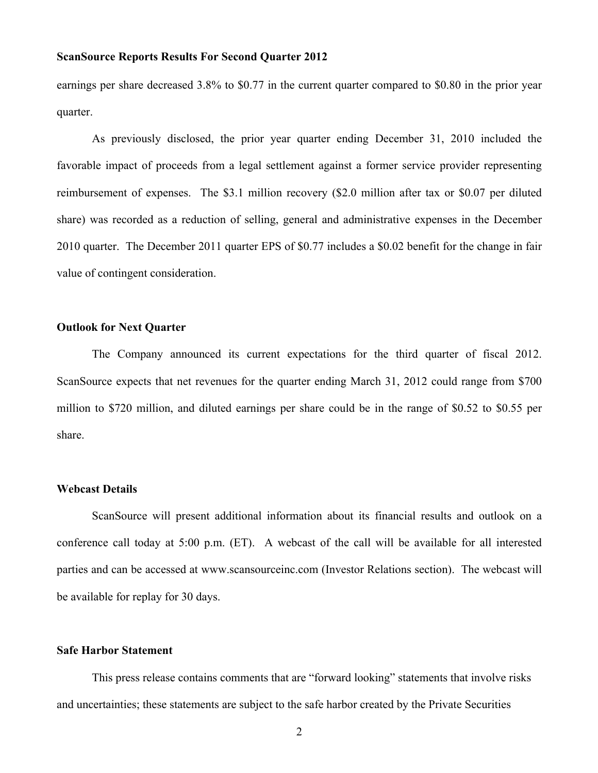earnings per share decreased 3.8% to \$0.77 in the current quarter compared to \$0.80 in the prior year quarter.

As previously disclosed, the prior year quarter ending December 31, 2010 included the favorable impact of proceeds from a legal settlement against a former service provider representing reimbursement of expenses. The \$3.1 million recovery (\$2.0 million after tax or \$0.07 per diluted share) was recorded as a reduction of selling, general and administrative expenses in the December 2010 quarter. The December 2011 quarter EPS of \$0.77 includes a \$0.02 benefit for the change in fair value of contingent consideration.

### **Outlook for Next Quarter**

The Company announced its current expectations for the third quarter of fiscal 2012. ScanSource expects that net revenues for the quarter ending March 31, 2012 could range from \$700 million to \$720 million, and diluted earnings per share could be in the range of \$0.52 to \$0.55 per share.

## **Webcast Details**

ScanSource will present additional information about its financial results and outlook on a conference call today at 5:00 p.m. (ET). A webcast of the call will be available for all interested parties and can be accessed at www.scansourceinc.com (Investor Relations section). The webcast will be available for replay for 30 days.

## **Safe Harbor Statement**

This press release contains comments that are "forward looking" statements that involve risks and uncertainties; these statements are subject to the safe harbor created by the Private Securities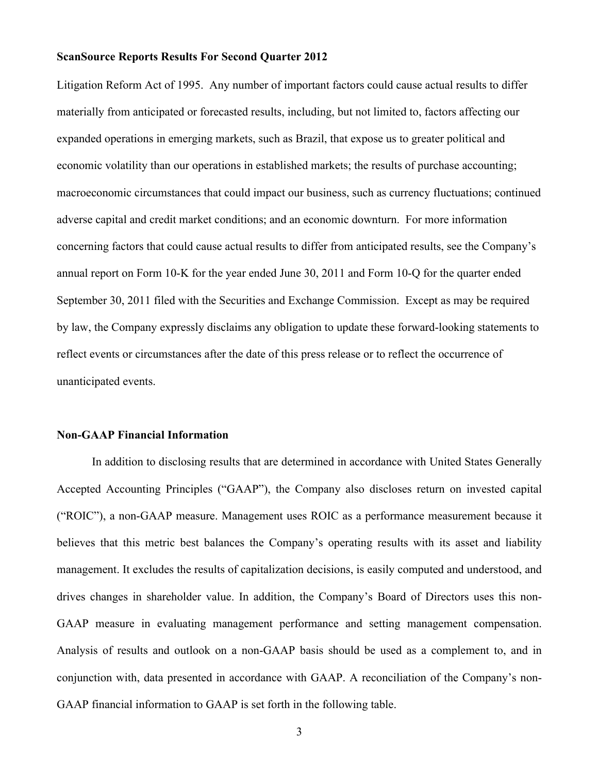Litigation Reform Act of 1995. Any number of important factors could cause actual results to differ materially from anticipated or forecasted results, including, but not limited to, factors affecting our expanded operations in emerging markets, such as Brazil, that expose us to greater political and economic volatility than our operations in established markets; the results of purchase accounting; macroeconomic circumstances that could impact our business, such as currency fluctuations; continued adverse capital and credit market conditions; and an economic downturn. For more information concerning factors that could cause actual results to differ from anticipated results, see the Company's annual report on Form 10-K for the year ended June 30, 2011 and Form 10-Q for the quarter ended September 30, 2011 filed with the Securities and Exchange Commission. Except as may be required by law, the Company expressly disclaims any obligation to update these forward-looking statements to reflect events or circumstances after the date of this press release or to reflect the occurrence of unanticipated events.

## **Non-GAAP Financial Information**

In addition to disclosing results that are determined in accordance with United States Generally Accepted Accounting Principles ("GAAP"), the Company also discloses return on invested capital ("ROIC"), a non-GAAP measure. Management uses ROIC as a performance measurement because it believes that this metric best balances the Company's operating results with its asset and liability management. It excludes the results of capitalization decisions, is easily computed and understood, and drives changes in shareholder value. In addition, the Company's Board of Directors uses this non-GAAP measure in evaluating management performance and setting management compensation. Analysis of results and outlook on a non-GAAP basis should be used as a complement to, and in conjunction with, data presented in accordance with GAAP. A reconciliation of the Company's non-GAAP financial information to GAAP is set forth in the following table.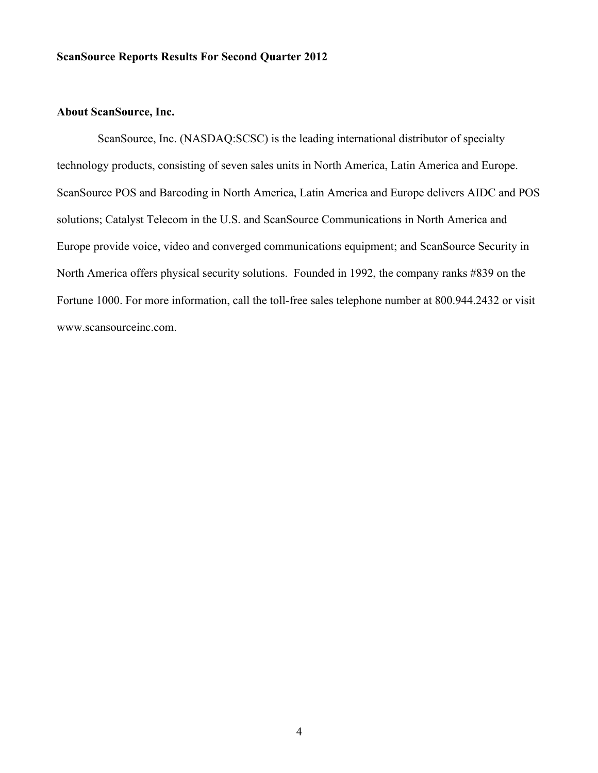#### **About ScanSource, Inc.**

ScanSource, Inc. (NASDAQ:SCSC) is the leading international distributor of specialty technology products, consisting of seven sales units in North America, Latin America and Europe. ScanSource POS and Barcoding in North America, Latin America and Europe delivers AIDC and POS solutions; Catalyst Telecom in the U.S. and ScanSource Communications in North America and Europe provide voice, video and converged communications equipment; and ScanSource Security in North America offers physical security solutions. Founded in 1992, the company ranks #839 on the Fortune 1000. For more information, call the toll-free sales telephone number at 800.944.2432 or visit www.scansourceinc.com.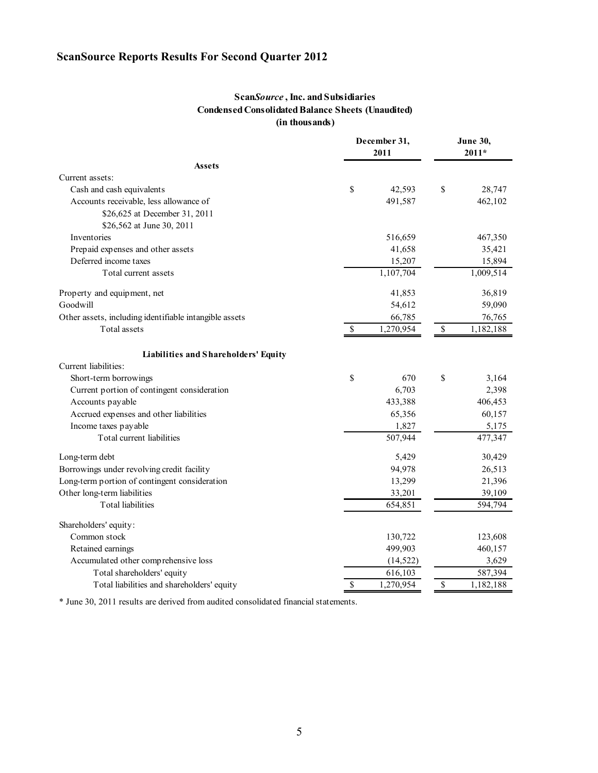## **Scan***Source* **, Inc. and Subsidiaries Condensed Consolidated Balance Sheets (Unaudited) (in thousands)**

|                                                        | December 31,<br>2011 |           | <b>June 30,</b><br>$2011*$ |                        |  |
|--------------------------------------------------------|----------------------|-----------|----------------------------|------------------------|--|
| <b>Assets</b>                                          |                      |           |                            |                        |  |
| Current assets:                                        |                      |           |                            |                        |  |
| Cash and cash equivalents                              | \$                   | 42,593    | \$                         | 28,747                 |  |
| Accounts receivable, less allowance of                 |                      | 491,587   |                            | 462,102                |  |
| \$26,625 at December 31, 2011                          |                      |           |                            |                        |  |
| \$26,562 at June 30, 2011                              |                      |           |                            |                        |  |
| Inventories                                            |                      | 516,659   |                            | 467,350                |  |
| Prepaid expenses and other assets                      |                      | 41,658    |                            | 35,421                 |  |
| Deferred income taxes                                  |                      | 15,207    |                            | 15,894                 |  |
| Total current assets                                   |                      | 1,107,704 |                            | 1,009,514              |  |
| Property and equipment, net                            |                      | 41,853    |                            | 36,819                 |  |
| Goodwill                                               |                      | 54,612    |                            | 59,090                 |  |
| Other assets, including identifiable intangible assets |                      | 66,785    |                            | 76,765                 |  |
| Total assets                                           | $\mathbb{S}$         | 1,270,954 | \$                         | $\overline{1,}182,188$ |  |
| Liabilities and Shareholders' Equity                   |                      |           |                            |                        |  |
| Current liabilities:                                   |                      |           |                            |                        |  |
| Short-term borrowings                                  | \$                   | 670       | \$                         | 3,164                  |  |
| Current portion of contingent consideration            |                      | 6,703     |                            | 2,398                  |  |
| Accounts payable                                       |                      | 433,388   |                            | 406,453                |  |
| Accrued expenses and other liabilities                 |                      | 65,356    |                            | 60,157                 |  |
| Income taxes payable                                   |                      | 1,827     |                            | 5,175                  |  |
| Total current liabilities                              |                      | 507,944   |                            | 477,347                |  |
| Long-term debt                                         |                      | 5,429     |                            | 30,429                 |  |
| Borrowings under revolving credit facility             |                      | 94,978    |                            | 26,513                 |  |
| Long-term portion of contingent consideration          |                      | 13,299    |                            | 21,396                 |  |
| Other long-term liabilities                            |                      | 33,201    |                            | 39,109                 |  |
| <b>Total liabilities</b>                               |                      | 654,851   |                            | 594,794                |  |
| Shareholders' equity:                                  |                      |           |                            |                        |  |
| Common stock                                           |                      | 130,722   |                            | 123,608                |  |
| Retained earnings                                      |                      | 499,903   |                            | 460,157                |  |
| Accumulated other comprehensive loss                   |                      | (14, 522) |                            | 3,629                  |  |
| Total shareholders' equity                             |                      | 616,103   |                            | 587,394                |  |
| Total liabilities and shareholders' equity             | \$                   | 1,270,954 | $\mathbb{S}$               | 1,182,188              |  |

\* June 30, 2011 results are derived from audited consolidated financial statements.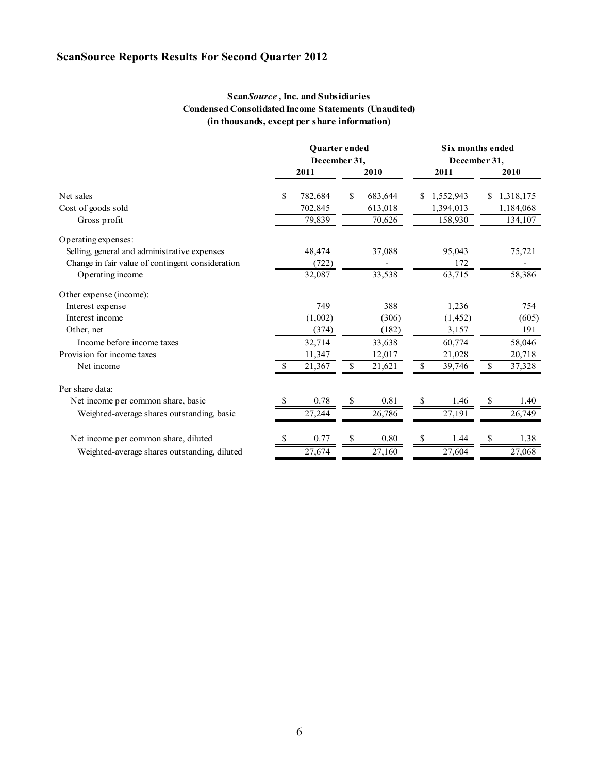## **Scan***Source* **, Inc. and Subsidiaries Condensed Consolidated Income Statements (Unaudited) (in thousands, except per share information)**

|                                                  |    | Quarter ended<br>December 31, |    |         | <b>Six months ended</b><br>December 31, |           |    |           |
|--------------------------------------------------|----|-------------------------------|----|---------|-----------------------------------------|-----------|----|-----------|
|                                                  |    | 2011                          |    | 2010    |                                         | 2011      |    | 2010      |
| Net sales                                        | \$ | 782,684                       | \$ | 683,644 | S                                       | 1,552,943 | \$ | 1,318,175 |
| Cost of goods sold                               |    | 702,845                       |    | 613,018 |                                         | 1,394,013 |    | 1,184,068 |
| Gross profit                                     |    | 79,839                        |    | 70,626  |                                         | 158,930   |    | 134,107   |
| Operating expenses:                              |    |                               |    |         |                                         |           |    |           |
| Selling, general and administrative expenses     |    | 48,474                        |    | 37,088  |                                         | 95,043    |    | 75,721    |
| Change in fair value of contingent consideration |    | (722)                         |    |         |                                         | 172       |    |           |
| Operating income                                 |    | 32,087                        |    | 33,538  |                                         | 63,715    |    | 58,386    |
| Other expense (income):                          |    |                               |    |         |                                         |           |    |           |
| Interest expense                                 |    | 749                           |    | 388     |                                         | 1,236     |    | 754       |
| Interest income                                  |    | (1,002)                       |    | (306)   |                                         | (1, 452)  |    | (605)     |
| Other, net                                       |    | (374)                         |    | (182)   |                                         | 3,157     |    | 191       |
| Income before income taxes                       |    | 32,714                        |    | 33,638  |                                         | 60,774    |    | 58,046    |
| Provision for income taxes                       |    | 11,347                        |    | 12,017  |                                         | 21,028    |    | 20,718    |
| Net income                                       |    | 21,367                        | \$ | 21,621  | \$                                      | 39,746    | \$ | 37,328    |
| Per share data:                                  |    |                               |    |         |                                         |           |    |           |
| Net income per common share, basic               |    | 0.78                          | \$ | 0.81    | \$                                      | 1.46      | S  | 1.40      |
| Weighted-average shares outstanding, basic       |    | 27,244                        |    | 26,786  |                                         | 27,191    |    | 26,749    |
| Net income per common share, diluted             | S  | 0.77                          | \$ | 0.80    | \$                                      | 1.44      | S  | 1.38      |
|                                                  |    |                               |    |         |                                         |           |    |           |
| Weighted-average shares outstanding, diluted     |    | 27,674                        |    | 27,160  |                                         | 27,604    |    | 27,068    |